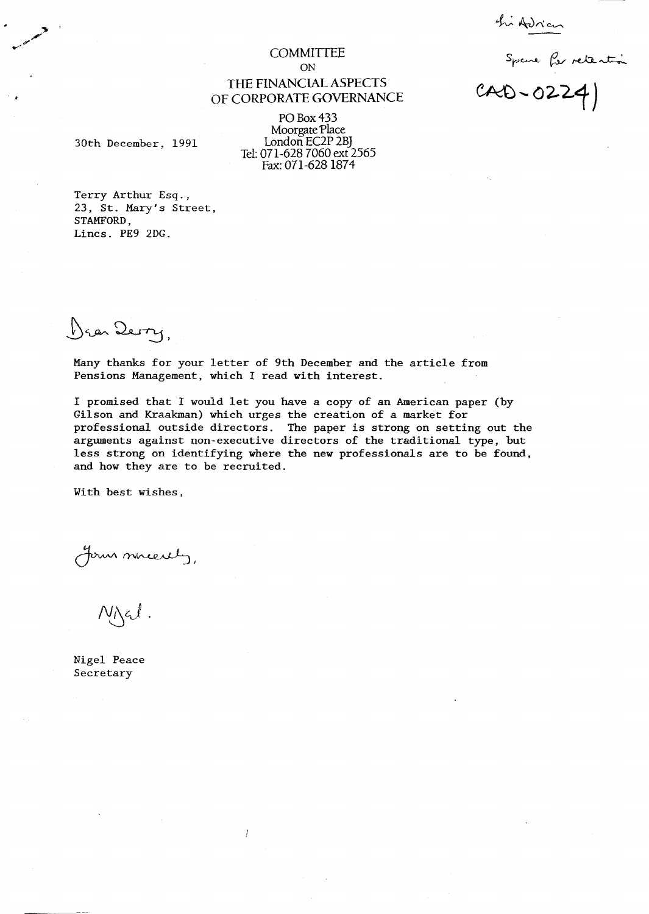## ON THE FINANCIAL ASPECTS OF CORPORATE GOVERNANCE

**COMMITTEE** 

hi Adrian<br>Spare for retention

PO Box 433 Moorgate Place London EC2P 2BJ Tel: 071-628 7060 ext 2565 Fax: 071-628 1874

30th December, 1991

 $\cdot$   $\cdot$ 

Terry Arthur Esq., 23, St. Mary's Street, STAMFORD, Lines. PE9 2DG.

Dear Derry,

Many thanks for your letter of 9th December and the article from Pensions Management, which I read with interest.

I promised that I would let you have a copy of an American paper (by Gilson and Kraakman) which urges the creation of a market for professional outside directors. The paper is strong on setting out the arguments against non-executive directors of the traditional type, but less strong on identifying where the new professionals are to be found, and how they are to be recruited.

With best wishes,

Jour mireachis,

Nigel Peace Secretary